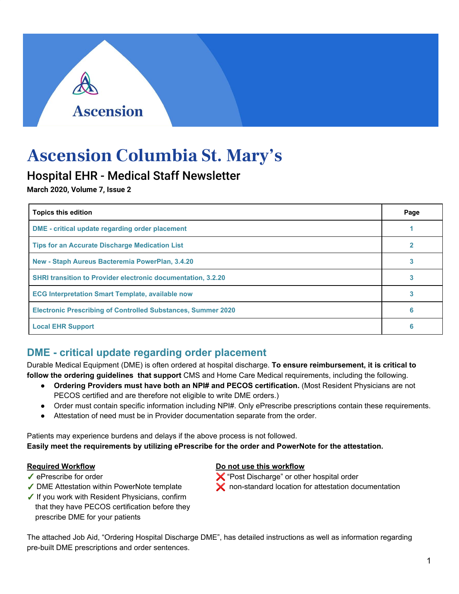# **Ascension Columbia St. Mary's**

**Ascension** 

## Hospital EHR - Medical Staff Newsletter

**March 2020, Volume 7, Issue 2**

| <b>Topics this edition</b>                                          |   |  |  |
|---------------------------------------------------------------------|---|--|--|
| <b>DME</b> - critical update regarding order placement              |   |  |  |
| <b>Tips for an Accurate Discharge Medication List</b>               |   |  |  |
| New - Staph Aureus Bacteremia PowerPlan, 3.4.20                     |   |  |  |
| <b>SHRI transition to Provider electronic documentation, 3.2.20</b> |   |  |  |
| <b>ECG Interpretation Smart Template, available now</b>             |   |  |  |
| <b>Electronic Prescribing of Controlled Substances, Summer 2020</b> | 6 |  |  |
| <b>Local EHR Support</b>                                            | A |  |  |

### **DME - critical update regarding order placement**

Durable Medical Equipment (DME) is often ordered at hospital discharge. **To ensure reimbursement, it is critical to follow the ordering guidelines that support** CMS and Home Care Medical requirements, including the following.

- **Ordering Providers must have both an NPI# and PECOS certification.** (Most Resident Physicians are not PECOS certified and are therefore not eligible to write DME orders.)
- Order must contain specific information including NPI#. Only ePrescribe prescriptions contain these requirements.
- Attestation of need must be in Provider documentation separate from the order.

Patients may experience burdens and delays if the above process is not followed. **Easily meet the requirements by utilizing ePrescribe for the order and PowerNote for the attestation.**

- 
- 
- ✓ If you work with Resident Physicians, confirm that they have PECOS certification before they prescribe DME for your patients

**Required Workflow Do not use this workflow**

- ✔ ePrescribe for order with the state of the state of the state of the state of the state of the state of the state of the state of the state of the state of the state of the state of the state of the state of the state o
- ✓ DME Attestation within PowerNote template ❌ non-standard location for attestation documentation

The attached Job Aid, "Ordering Hospital Discharge DME", has detailed instructions as well as information regarding pre-built DME prescriptions and order sentences.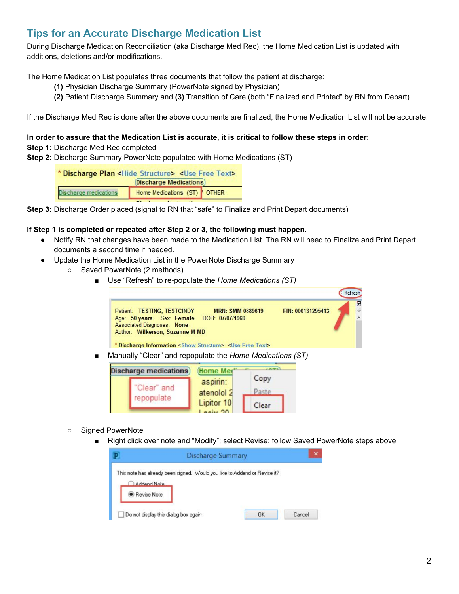#### **Tips for an Accurate Discharge Medication List**

During Discharge Medication Reconciliation (aka Discharge Med Rec), the Home Medication List is updated with additions, deletions and/or modifications.

The Home Medication List populates three documents that follow the patient at discharge:

- **(1)** Physician Discharge Summary (PowerNote signed by Physician)
- **(2)** Patient Discharge Summary and **(3)** Transition of Care (both "Finalized and Printed" by RN from Depart)

If the Discharge Med Rec is done after the above documents are finalized, the Home Medication List will not be accurate.

#### In order to assure that the Medication List is accurate, it is critical to follow these steps in order:

#### **Step 1:** Discharge Med Rec completed

**Step 2:** Discharge Summary PowerNote populated with Home Medications (ST)

\* Discharge Plan <Hide Structure> <Use Free Text> **Discharge Medications** Home Medications (ST) Discharge medications **OTHER** 

**Step 3:** Discharge Order placed (signal to RN that "safe" to Finalize and Print Depart documents)

#### **If Step 1 is completed or repeated after Step 2 or 3, the following must happen.**

- Notify RN that changes have been made to the Medication List. The RN will need to Finalize and Print Depart documents a second time if needed.
- Update the Home Medication List in the PowerNote Discharge Summary

repopulate

- Saved PowerNote (2 methods)
	- Use "Refresh" to re-populate the *Home Medications (ST)*

|                                                                                                                                                               |                         |                    |                   | Refresh                  |
|---------------------------------------------------------------------------------------------------------------------------------------------------------------|-------------------------|--------------------|-------------------|--------------------------|
| Patient: TESTING, TESTCINDY<br>Age: 50 years Sex: Female DOB: 07/07/1969<br>Associated Diagnoses: None<br>Author: Wilkerson, Suzanne M MD                     | <b>MRN: SMM-0889619</b> |                    | FIN: 000131295413 | Ř<br>$\tilde{c}_C^{\,2}$ |
| * Discharge Information < Show Structure> <use free="" text=""><br/>Manually "Clear" and repopulate the Home Medications (ST)<br/>Discharge medications</use> | Home Me                 | 4.45.79%           |                   |                          |
|                                                                                                                                                               | aspirin:<br>$1 - 11$    | Copy<br>$D = -4 -$ |                   |                          |

- Signed PowerNote
	- Right click over note and "Modify"; select Revise; follow Saved PowerNote steps above

Paste

Clear

| Addend Note | This note has already been signed. Would you like to Addend or Revise it? |  |
|-------------|---------------------------------------------------------------------------|--|
|             |                                                                           |  |
| Revise Note |                                                                           |  |

atenolol<sub>2</sub>

Lipitor 10

 $-100$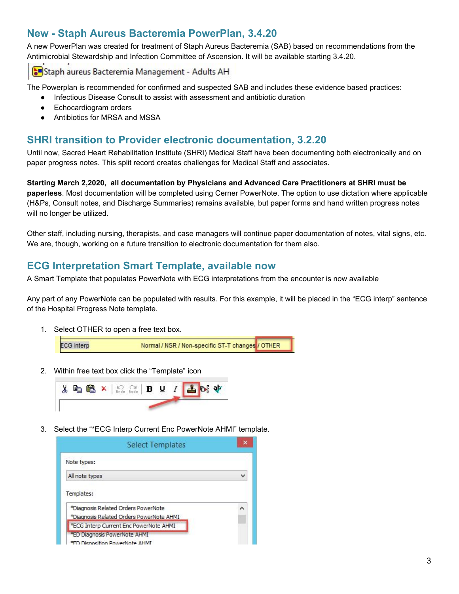#### **New - Staph Aureus Bacteremia PowerPlan, 3.4.20**

A new PowerPlan was created for treatment of Staph Aureus Bacteremia (SAB) based on recommendations from the Antimicrobial Stewardship and Infection Committee of Ascension. It will be available starting 3.4.20.

Staph aureus Bacteremia Management - Adults AH

The Powerplan is recommended for confirmed and suspected SAB and includes these evidence based practices:

- Infectious Disease Consult to assist with assessment and antibiotic duration
- Echocardiogram orders
- Antibiotics for MRSA and MSSA

#### **SHRI transition to Provider electronic documentation, 3.2.20**

Until now, Sacred Heart Rehabilitation Institute (SHRI) Medical Staff have been documenting both electronically and on paper progress notes. This split record creates challenges for Medical Staff and associates.

**Starting March 2,2020, all documentation by Physicians and Advanced Care Practitioners at SHRI must be paperless**. Most documentation will be completed using Cerner PowerNote. The option to use dictation where applicable (H&Ps, Consult notes, and Discharge Summaries) remains available, but paper forms and hand written progress notes will no longer be utilized.

Other staff, including nursing, therapists, and case managers will continue paper documentation of notes, vital signs, etc. We are, though, working on a future transition to electronic documentation for them also.

#### **ECG Interpretation Smart Template, available now**

A Smart Template that populates PowerNote with ECG interpretations from the encounter is now available

Any part of any PowerNote can be populated with results. For this example, it will be placed in the "ECG interp" sentence of the Hospital Progress Note template.

1. Select OTHER to open a free text box.



2. Within free text box click the "Template" icon



3. Select the "\*ECG Interp Current Enc PowerNote AHMI" template.

| <b>Select Templates</b>                                                                       |  |
|-----------------------------------------------------------------------------------------------|--|
| Note types:                                                                                   |  |
| All note types                                                                                |  |
|                                                                                               |  |
| Templates:<br>*Diagnosis Related Orders PowerNote<br>*Diagnosis Related Orders PowerNote AHMI |  |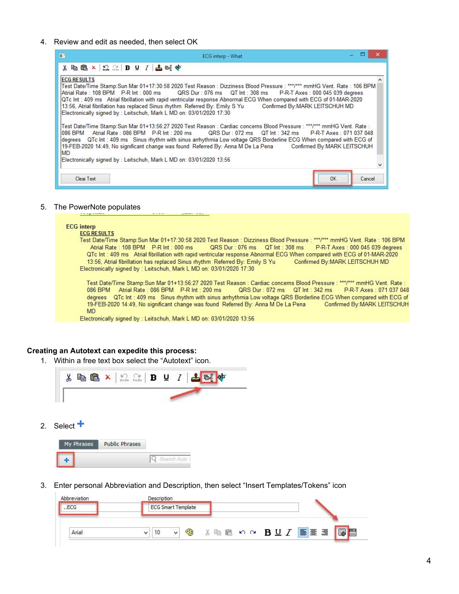4. Review and edit as needed, then select OK

| п                                                                                                                                                                                                         | ECG interp - What                                                                                                                                                                                                                                                                                                                                                                                                                                                        |  |
|-----------------------------------------------------------------------------------------------------------------------------------------------------------------------------------------------------------|--------------------------------------------------------------------------------------------------------------------------------------------------------------------------------------------------------------------------------------------------------------------------------------------------------------------------------------------------------------------------------------------------------------------------------------------------------------------------|--|
| $\lambda$ the $\mathbf{B}$ x $ \Omega_{\alpha} $ B U $I$ $ \Delta$ of $\psi$                                                                                                                              |                                                                                                                                                                                                                                                                                                                                                                                                                                                                          |  |
| <b>ECG RESULTS</b><br>13:56, Atrial fibrillation has replaced Sinus rhythm Referred By: Emily S Yu Confirmed By: MARK LEITSCHUH MD<br>Electronically signed by: Leitschuh, Mark L MD on: 03/01/2020 17:30 | Test Date/Time Stamp:Sun Mar 01+17:30:58 2020 Test Reason : Dizziness Blood Pressure : ***/*** mmHG Vent. Rate : 106 BPM<br>Atrial Rate: 108 BPM P-R Int: 000 ms QRS Dur: 076 ms QT Int: 308 ms P-R-T Axes: 000 045 039 degrees<br>QTc Int: 409 ms Atrial fibrillation with rapid ventricular response Abnormal ECG When compared with ECG of 01-MAR-2020                                                                                                                |  |
| <b>MD</b><br>Electronically signed by : Leitschuh, Mark L MD on: 03/01/2020 13:56                                                                                                                         | ∏est Date/Time Stamp:Sun Mar 01+13:56:27 2020 Test Reason : Cardiac concerns Blood Pressure : ***/*** mmHG Vent. Rate :<br>1086 BPM Atrial Rate: 086 BPM P-R Int: 200 ms QRS Dur: 072 ms QT Int: 342 ms P-R-T Axes: 071 037 048<br>degrees QTc Int: 409 ms Sinus rhythm with sinus arrhythmia Low voltage QRS Borderline ECG When compared with ECG of<br>19-FEB-2020 14:49, No significant change was found Referred By: Anna M De La Pena Confirmed By: MARK LEITSCHUH |  |
|                                                                                                                                                                                                           |                                                                                                                                                                                                                                                                                                                                                                                                                                                                          |  |
| Clear Text                                                                                                                                                                                                | <b>OK</b><br>Cancel                                                                                                                                                                                                                                                                                                                                                                                                                                                      |  |

#### 5. The PowerNote populates

#### **ECG** interp

**ECG RESULTS** 

Test Date/Time Stamp: Sun Mar 01+17:30:58 2020 Test Reason : Dizziness Blood Pressure : \*\*\*/\*\*\* mmHG Vent. Rate : 106 BPM Atrial Rate: 108 BPM P-R Int: 000 ms QRS Dur: 076 ms QT Int: 308 ms P-R-T Axes: 000 045 039 degrees QTc Int: 409 ms Atrial fibrillation with rapid ventricular response Abnormal ECG When compared with ECG of 01-MAR-2020 13:56, Atrial fibrillation has replaced Sinus rhythm Referred By: Emily S Yu Confirmed By: MARK LEITSCHUH MD Electronically signed by : Leitschuh, Mark L MD on: 03/01/2020 17:30

Test Date/Time Stamp: Sun Mar 01+13:56:27 2020 Test Reason : Cardiac concerns Blood Pressure : \*\*\*/\*\*\* mmHG Vent. Rate : 086 BPM Atrial Rate: 086 BPM P-R Int: 200 ms QRS Dur: 072 ms QT Int: 342 ms P-R-T Axes: 071 037 048 degrees QTc Int: 409 ms Sinus rhythm with sinus arrhythmia Low voltage QRS Borderline ECG When compared with ECG of 19-FEB-2020 14:49, No significant change was found Referred By: Anna M De La Pena Confirmed By: MARK LEITSCHUH **MD** 

Electronically signed by : Leitschuh, Mark L MD on: 03/01/2020 13:56

#### **Creating an Autotext can expedite this process:**

1. Within a free text box select the "Autotext" icon.



2. Select **+**

| My Phrases | <b>Public Phrases</b> |  |
|------------|-----------------------|--|
|            |                       |  |

3. Enter personal Abbreviation and Description, then select "Insert Templates/Tokens" icon

| Abbreviation | Description               |   |
|--------------|---------------------------|---|
| .ECG         | <b>ECG Smart Template</b> |   |
| Arial        | ù.<br>الثقا               | 靝 |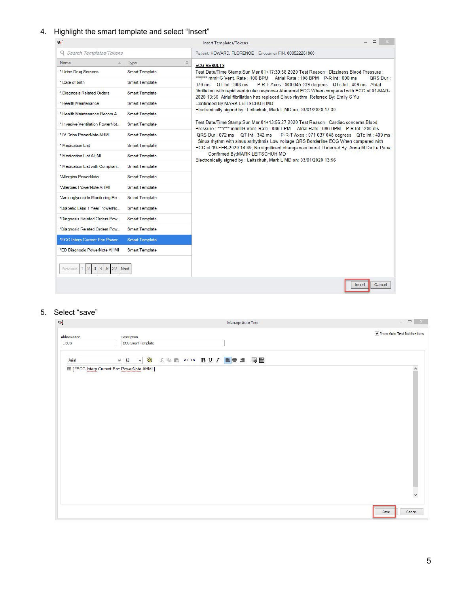#### 4. Highlight the smart template and select "Insert"

| 画                                                                         |                       | ▭<br>Insert Templates/Tokens                                                                                                                                                     |
|---------------------------------------------------------------------------|-----------------------|----------------------------------------------------------------------------------------------------------------------------------------------------------------------------------|
| Q Search Templates/Tokens                                                 |                       | Patient: HOWARD, FLORENCE Encounter FIN: 000522261866                                                                                                                            |
| Name<br>$\Delta$                                                          | $\hat{\cdot}$<br>Type | <b>ECG RESULTS</b>                                                                                                                                                               |
| * Urine Drug Screens                                                      | <b>Smart Template</b> | Test Date/Time Stamp:Sun Mar 01+17:30:58 2020 Test Reason : Dizziness Blood Pressure :                                                                                           |
| * Date of birth                                                           | <b>Smart Template</b> | ***/*** mmHG Vent. Rate: 106 BPM Atrial Rate: 108 BPM P-R Int: 000 ms<br>QRS Dur:<br>076 ms QT Int: 308 ms<br>P-R-T Axes: 000 045 039 degrees QTc Int: 409 ms Atrial             |
| * Diagnosis Related Orders                                                | <b>Smart Template</b> | fibrillation with rapid ventricular response Abnormal ECG When compared with ECG of 01-MAR-<br>2020 13:56, Atrial fibrillation has replaced Sinus rhythm Referred By: Emily S Yu |
| * Health Maintenance                                                      | <b>Smart Template</b> | Confirmed By:MARK LEITSCHUH MD                                                                                                                                                   |
| * Health Maintenance Recom A.,                                            | <b>Smart Template</b> | Electronically signed by : Leitschuh, Mark L MD on: 03/01/2020 17:30                                                                                                             |
| * Invasive Ventilation PowerNot                                           | <b>Smart Template</b> | Test Date/Time Stamp: Sun Mar 01+13:56:27 2020 Test Reason: Cardiac concerns Blood<br>Pressure: ***/*** mmHG Vent. Rate: 086 BPM Atrial Rate: 086 BPM P-R Int: 200 ms            |
| * IV Drips PowerNote AHMI                                                 | <b>Smart Template</b> | QRS Dur: 072 ms QT Int: 342 ms<br>P-R-T Axes: 071 037 048 degrees QTc Int: 409 ms                                                                                                |
| * Medication List                                                         | <b>Smart Template</b> | Sinus rhythm with sinus arrhythmia Low voltage QRS Borderline ECG When compared with<br>ECG of 19-FEB-2020 14:49. No significant change was found Referred By: Anna M De La Pena |
| * Medication List AHMI                                                    | <b>Smart Template</b> | Confirmed By: MARK LEITSCHUH MD<br>Electronically signed by : Leitschuh, Mark L MD on: 03/01/2020 13:56                                                                          |
| * Medication List with Complian                                           | <b>Smart Template</b> |                                                                                                                                                                                  |
| *Allergies PowerNote                                                      | <b>Smart Template</b> |                                                                                                                                                                                  |
| *Allergies PowerNote AHMI                                                 | <b>Smart Template</b> |                                                                                                                                                                                  |
| *Aminoglycoside Monitoring Re                                             | <b>Smart Template</b> |                                                                                                                                                                                  |
| *Diabetic Labs 1 Year PowerNo                                             | <b>Smart Template</b> |                                                                                                                                                                                  |
| *Diagnosis Related Orders Pow                                             | <b>Smart Template</b> |                                                                                                                                                                                  |
| *Diagnosis Related Orders Pow                                             | <b>Smart Template</b> |                                                                                                                                                                                  |
| *ECG Interp Current Enc Power                                             | <b>Smart Template</b> |                                                                                                                                                                                  |
| *ED Diagnosis PowerNote AHMI                                              | Smart Template        |                                                                                                                                                                                  |
| $\overline{2}$<br>$\overline{3}$<br>5<br>32<br>Previous<br>$\overline{4}$ | Next                  |                                                                                                                                                                                  |
|                                                                           |                       | Cancel<br>Insert                                                                                                                                                                 |

#### 5. Select "save"

| $\mathbb{G}$         | Manage Auto Text                             | $\begin{array}{c c c c} \hline \quad \  & \quad \  & \\\hline \quad \  & \quad \  & \\\hline \end{array} \qquad \begin{array}{c c} \hline \quad \  & \times \quad \  \\ \hline \end{array}$ |
|----------------------|----------------------------------------------|---------------------------------------------------------------------------------------------------------------------------------------------------------------------------------------------|
| Abbreviation<br>.ECG | Description<br><b>ECG Smart Template</b>     | Show Auto Text Notifications                                                                                                                                                                |
| Arial                | V + & & B O O B U Z E E E BE<br>$\vee$ 12    |                                                                                                                                                                                             |
|                      | 圖 [ *ECG Interp Current Enc PowerNote AHMI ] | $\land$                                                                                                                                                                                     |
|                      |                                              |                                                                                                                                                                                             |
|                      |                                              |                                                                                                                                                                                             |
|                      |                                              |                                                                                                                                                                                             |
|                      |                                              |                                                                                                                                                                                             |
|                      |                                              |                                                                                                                                                                                             |
|                      |                                              |                                                                                                                                                                                             |
|                      |                                              |                                                                                                                                                                                             |
|                      |                                              |                                                                                                                                                                                             |
|                      |                                              | $\checkmark$                                                                                                                                                                                |
|                      |                                              |                                                                                                                                                                                             |
|                      |                                              | Cancel<br>Save                                                                                                                                                                              |